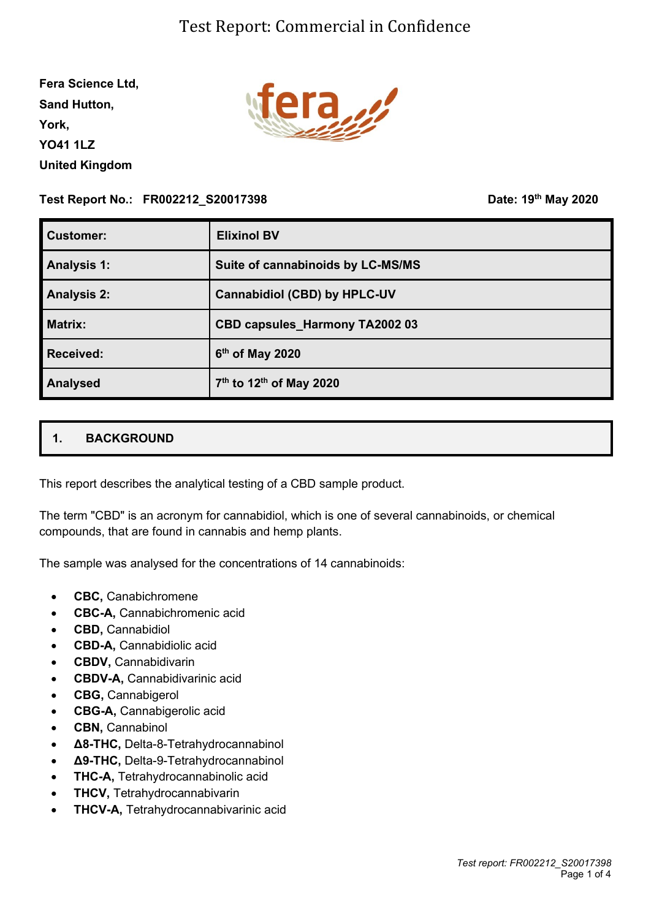**Fera Science Ltd, Sand Hutton, York, YO41 1LZ United Kingdom**



#### **Test Report No.: FR002212\_S20017398**

**th May 2020**

| <b>Customer:</b>   | <b>Elixinol BV</b>                              |
|--------------------|-------------------------------------------------|
| <b>Analysis 1:</b> | Suite of cannabinoids by LC-MS/MS               |
| <b>Analysis 2:</b> | <b>Cannabidiol (CBD) by HPLC-UV</b>             |
| <b>Matrix:</b>     | <b>CBD capsules_Harmony TA2002 03</b>           |
| <b>Received:</b>   | 6 <sup>th</sup> of May 2020                     |
| <b>Analysed</b>    | 7 <sup>th</sup> to 12 <sup>th</sup> of May 2020 |

## **1. BACKGROUND**

This report describes the analytical testing of a CBD sample product.

The term "CBD" is an acronym for cannabidiol, which is one of several cannabinoids, or chemical compounds, that are found in cannabis and hemp plants.

The sample was analysed for the concentrations of 14 cannabinoids:

- **CBC,** Canabichromene
- **CBC-A,** Cannabichromenic acid
- **CBD,** Cannabidiol
- **CBD-A,** Cannabidiolic acid
- **CBDV,** Cannabidivarin
- **CBDV-A,** Cannabidivarinic acid
- **CBG,** Cannabigerol
- **CBG-A,** Cannabigerolic acid
- **CBN,** Cannabinol
- **Δ8-THC,** Delta-8-Tetrahydrocannabinol
- **Δ9-THC,** Delta-9-Tetrahydrocannabinol
- **THC-A,** Tetrahydrocannabinolic acid
- **THCV,** Tetrahydrocannabivarin
- **THCV-A,** Tetrahydrocannabivarinic acid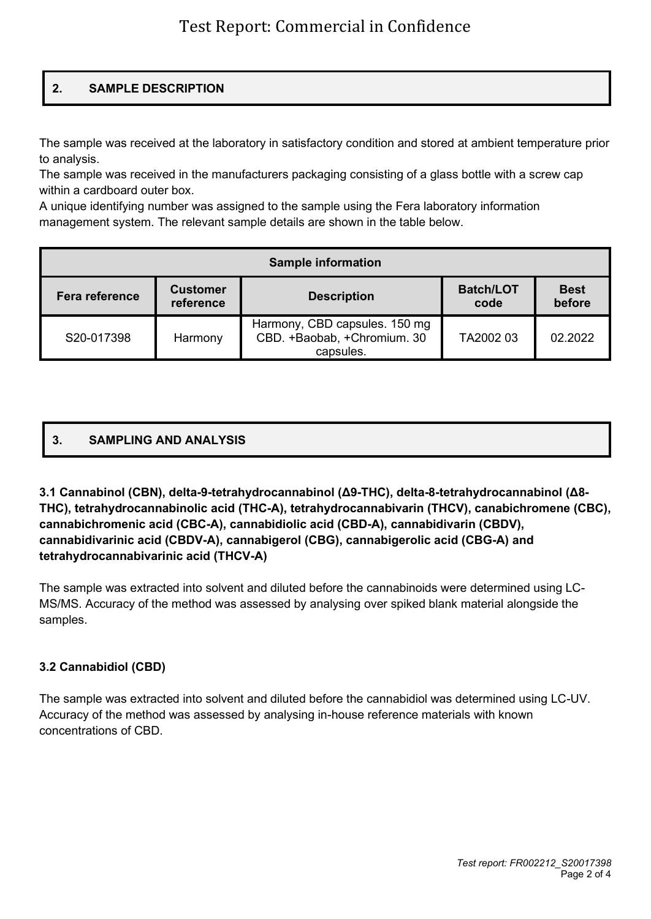# **2. SAMPLE DESCRIPTION**

The sample was received at the laboratory in satisfactory condition and stored at ambient temperature prior to analysis.

The sample was received in the manufacturers packaging consisting of a glass bottle with a screw cap within a cardboard outer box.

A unique identifying number was assigned to the sample using the Fera laboratory information management system. The relevant sample details are shown in the table below.

| <b>Sample information</b> |                              |                                                                           |                          |                       |  |  |  |
|---------------------------|------------------------------|---------------------------------------------------------------------------|--------------------------|-----------------------|--|--|--|
| Fera reference            | <b>Customer</b><br>reference | <b>Description</b>                                                        | <b>Batch/LOT</b><br>code | <b>Best</b><br>before |  |  |  |
| S20-017398                | Harmony                      | Harmony, CBD capsules. 150 mg<br>CBD. +Baobab, +Chromium. 30<br>capsules. | TA2002 03                | 02.2022               |  |  |  |

## **3. SAMPLING AND ANALYSIS**

**3.1 Cannabinol (CBN), delta-9-tetrahydrocannabinol (Δ9-THC), delta-8-tetrahydrocannabinol (Δ8- THC), tetrahydrocannabinolic acid (THC-A), tetrahydrocannabivarin (THCV), canabichromene (CBC), cannabichromenic acid (CBC-A), cannabidiolic acid (CBD-A), cannabidivarin (CBDV), cannabidivarinic acid (CBDV-A), cannabigerol (CBG), cannabigerolic acid (CBG-A) and tetrahydrocannabivarinic acid (THCV-A)**

The sample was extracted into solvent and diluted before the cannabinoids were determined using LC-MS/MS. Accuracy of the method was assessed by analysing over spiked blank material alongside the samples.

#### **3.2 Cannabidiol (CBD)**

The sample was extracted into solvent and diluted before the cannabidiol was determined using LC-UV. Accuracy of the method was assessed by analysing in-house reference materials with known concentrations of CBD.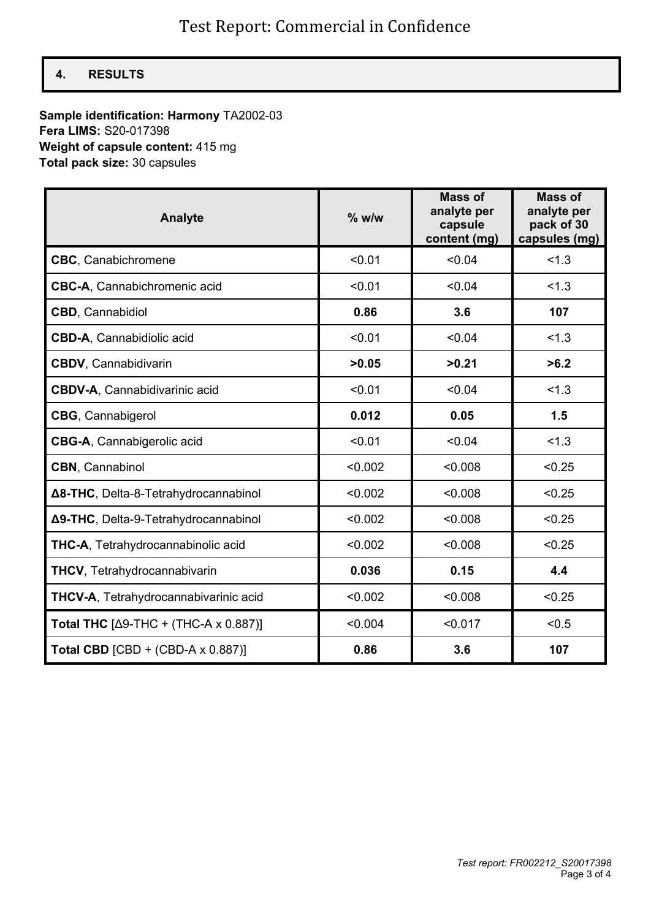## **4. RESULTS**

### **Sample identification: Harmony** TA2002-03 **Fera LIMS:** S20-017398 **Weight of capsule content:** 415 mg **Total pack size:** 30 capsules

| <b>Analyte</b>                               | $%$ w/w | <b>Mass of</b><br>analyte per<br>capsule<br>content (mg) | <b>Mass of</b><br>analyte per<br>pack of 30<br>capsules (mg) |
|----------------------------------------------|---------|----------------------------------------------------------|--------------------------------------------------------------|
| <b>CBC, Canabichromene</b>                   | < 0.01  | < 0.04                                                   | < 1.3                                                        |
| <b>CBC-A, Cannabichromenic acid</b>          | < 0.01  | < 0.04                                                   | < 1.3                                                        |
| CBD, Cannabidiol                             | 0.86    | 3.6                                                      | 107                                                          |
| <b>CBD-A, Cannabidiolic acid</b>             | < 0.01  | < 0.04                                                   | < 1.3                                                        |
| <b>CBDV</b> , Cannabidivarin                 | >0.05   | >0.21                                                    | >6.2                                                         |
| <b>CBDV-A, Cannabidivarinic acid</b>         | < 0.01  | < 0.04                                                   | 1.3                                                          |
| <b>CBG, Cannabigerol</b>                     | 0.012   | 0.05                                                     | 1.5                                                          |
| <b>CBG-A, Cannabigerolic acid</b>            | < 0.01  | < 0.04                                                   | 1.3                                                          |
| <b>CBN</b> , Cannabinol                      | < 0.002 | < 0.008                                                  | < 0.25                                                       |
| Δ8-THC, Delta-8-Tetrahydrocannabinol         | < 0.002 | < 0.008                                                  | < 0.25                                                       |
| Δ9-THC, Delta-9-Tetrahydrocannabinol         | < 0.002 | < 0.008                                                  | < 0.25                                                       |
| <b>THC-A, Tetrahydrocannabinolic acid</b>    | < 0.002 | < 0.008                                                  | < 0.25                                                       |
| <b>THCV, Tetrahydrocannabivarin</b>          | 0.036   | 0.15                                                     | 4.4                                                          |
| <b>THCV-A, Tetrahydrocannabivarinic acid</b> | < 0.002 | < 0.008                                                  | < 0.25                                                       |
| Total THC $[Δ9-THC + (THC-A × 0.887)]$       | < 0.004 | < 0.017                                                  | < 0.5                                                        |
| Total CBD $[CBD + (CBD-A \times 0.887)]$     | 0.86    | 3.6                                                      | 107                                                          |